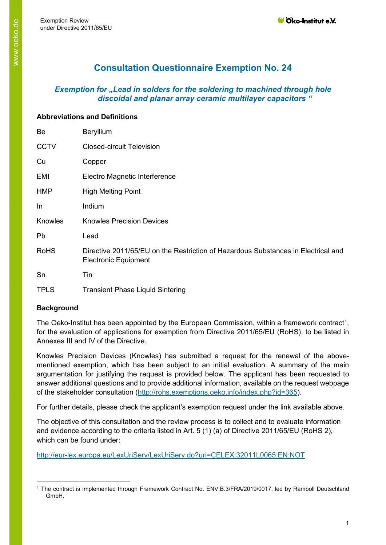# **Consultation Questionnaire Exemption No. 24**

# *Exemption for "Lead in solders for the soldering to machined through hole discoidal and planar array ceramic multilayer capacitors "*

#### **Abbreviations and Definitions**

| Be          | <b>Beryllium</b>                                                                                                 |
|-------------|------------------------------------------------------------------------------------------------------------------|
| <b>CCTV</b> | <b>Closed-circuit Television</b>                                                                                 |
| Cu          | Copper                                                                                                           |
| EMI         | Electro Magnetic Interference                                                                                    |
| <b>HMP</b>  | <b>High Melting Point</b>                                                                                        |
| In          | Indium                                                                                                           |
| Knowles     | <b>Knowles Precision Devices</b>                                                                                 |
| Pb          | Lead                                                                                                             |
| <b>RoHS</b> | Directive 2011/65/EU on the Restriction of Hazardous Substances in Electrical and<br><b>Electronic Equipment</b> |
| Sn          | Tin                                                                                                              |
| <b>TPLS</b> | <b>Transient Phase Liquid Sintering</b>                                                                          |

## **Background**

The Oeko-Institut has been appointed by the European Commission, within a framework contract<sup>[1](#page-0-0)</sup>, for the evaluation of applications for exemption from Directive 2011/65/EU (RoHS), to be listed in Annexes III and IV of the Directive.

Knowles Precision Devices (Knowles) has submitted a request for the renewal of the abovementioned exemption, which has been subject to an initial evaluation. A summary of the main argumentation for justifying the request is provided below. The applicant has been requested to answer additional questions and to provide additional information, available on the request webpage of the stakeholder consultation [\(http://rohs.exemptions.oeko.info/index.php?id=365](http://rohs.exemptions.oeko.info/index.php?id=365)).

For further details, please check the applicant's exemption request under the link available above.

The objective of this consultation and the review process is to collect and to evaluate information and evidence according to the criteria listed in Art. 5 (1) (a) of Directive 2011/65/EU (RoHS 2), which can be found under:

<http://eur-lex.europa.eu/LexUriServ/LexUriServ.do?uri=CELEX:32011L0065:EN:NOT>

<span id="page-0-0"></span><sup>1</sup> The contract is implemented through Framework Contract No. ENV.B.3/FRA/2019/0017, led by Ramboll Deutschland GmbH.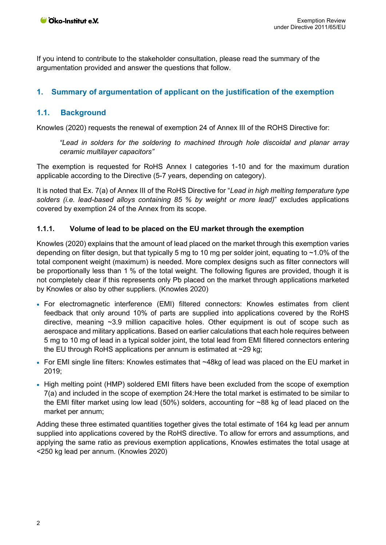If you intend to contribute to the stakeholder consultation, please read the summary of the argumentation provided and answer the questions that follow.

## **1. Summary of argumentation of applicant on the justification of the exemption**

## **1.1. Background**

Knowles (2020) requests the renewal of exemption 24 of Annex III of the ROHS Directive for:

*"Lead in solders for the soldering to machined through hole discoidal and planar array ceramic multilayer capacitors"*

The exemption is requested for RoHS Annex I categories 1-10 and for the maximum duration applicable according to the Directive (5-7 years, depending on category).

It is noted that Ex. 7(a) of Annex III of the RoHS Directive for "*Lead in high melting temperature type solders (i.e. lead-based alloys containing 85 % by weight or more lead)*" excludes applications covered by exemption 24 of the Annex from its scope.

## **1.1.1. Volume of lead to be placed on the EU market through the exemption**

Knowles (2020) explains that the amount of lead placed on the market through this exemption varies depending on filter design, but that typically 5 mg to 10 mg per solder joint, equating to ~1.0% of the total component weight (maximum) is needed. More complex designs such as filter connectors will be proportionally less than 1 % of the total weight. The following figures are provided, though it is not completely clear if this represents only Pb placed on the market through applications marketed by Knowles or also by other suppliers. (Knowles 2020)

- For electromagnetic interference (EMI) filtered connectors: Knowles estimates from client feedback that only around 10% of parts are supplied into applications covered by the RoHS directive, meaning ~3.9 million capacitive holes. Other equipment is out of scope such as aerospace and military applications. Based on earlier calculations that each hole requires between 5 mg to 10 mg of lead in a typical solder joint, the total lead from EMI filtered connectors entering the EU through RoHS applications per annum is estimated at  $\sim$ 29 kg;
- For EMI single line filters: Knowles estimates that ~48kg of lead was placed on the EU market in 2019;
- High melting point (HMP) soldered EMI filters have been excluded from the scope of exemption 7(a) and included in the scope of exemption 24:Here the total market is estimated to be similar to the EMI filter market using low lead (50%) solders, accounting for ~88 kg of lead placed on the market per annum;

Adding these three estimated quantities together gives the total estimate of 164 kg lead per annum supplied into applications covered by the RoHS directive. To allow for errors and assumptions, and applying the same ratio as previous exemption applications, Knowles estimates the total usage at <250 kg lead per annum. (Knowles 2020)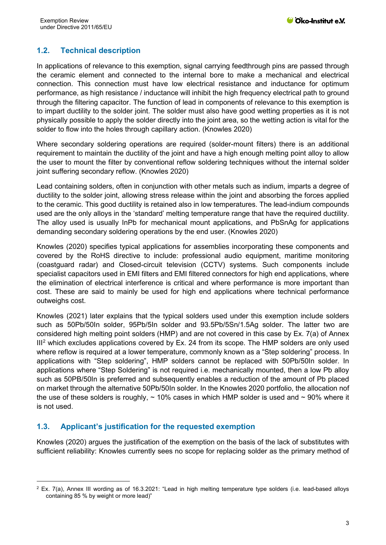# **1.2. Technical description**

In applications of relevance to this exemption, signal carrying feedthrough pins are passed through the ceramic element and connected to the internal bore to make a mechanical and electrical connection. This connection must have low electrical resistance and inductance for optimum performance, as high resistance / inductance will inhibit the high frequency electrical path to ground through the filtering capacitor. The function of lead in components of relevance to this exemption is to impart ductility to the solder joint. The solder must also have good wetting properties as it is not physically possible to apply the solder directly into the joint area, so the wetting action is vital for the solder to flow into the holes through capillary action. (Knowles 2020)

Where secondary soldering operations are required (solder-mount filters) there is an additional requirement to maintain the ductility of the joint and have a high enough melting point alloy to allow the user to mount the filter by conventional reflow soldering techniques without the internal solder joint suffering secondary reflow. (Knowles 2020)

Lead containing solders, often in conjunction with other metals such as indium, imparts a degree of ductility to the solder joint, allowing stress release within the joint and absorbing the forces applied to the ceramic. This good ductility is retained also in low temperatures. The lead-indium compounds used are the only alloys in the 'standard' melting temperature range that have the required ductility. The alloy used is usually InPb for mechanical mount applications, and PbSnAg for applications demanding secondary soldering operations by the end user. (Knowles 2020)

Knowles (2020) specifies typical applications for assemblies incorporating these components and covered by the RoHS directive to include: professional audio equipment, maritime monitoring (coastguard radar) and Closed-circuit television (CCTV) systems. Such components include specialist capacitors used in EMI filters and EMI filtered connectors for high end applications, where the elimination of electrical interference is critical and where performance is more important than cost. These are said to mainly be used for high end applications where technical performance outweighs cost.

Knowles (2021) later explains that the typical solders used under this exemption include solders such as 50Pb/50In solder, 95Pb/5In solder and 93.5Pb/5Sn/1.5Ag solder. The latter two are considered high melting point solders (HMP) and are not covered in this case by Ex. 7(a) of Annex  $III<sup>2</sup>$  $III<sup>2</sup>$  $III<sup>2</sup>$  which excludes applications covered by Ex. 24 from its scope. The HMP solders are only used where reflow is required at a lower temperature, commonly known as a "Step soldering" process. In applications with "Step soldering", HMP solders cannot be replaced with 50Pb/50In solder. In applications where "Step Soldering" is not required i.e. mechanically mounted, then a low Pb alloy such as 50PB/50In is preferred and subsequently enables a reduction of the amount of Pb placed on market through the alternative 50Pb/50In solder. In the Knowles 2020 portfolio, the allocation nof the use of these solders is roughly,  $\sim$  10% cases in which HMP solder is used and  $\sim$  90% where it is not used.

## **1.3. Applicant's justification for the requested exemption**

Knowles (2020) argues the justification of the exemption on the basis of the lack of substitutes with sufficient reliability: Knowles currently sees no scope for replacing solder as the primary method of

<span id="page-2-0"></span><sup>2</sup> Ex. 7(a), Annex III wording as of 16.3.2021: "Lead in high melting temperature type solders (i.e. lead-based alloys containing 85 % by weight or more lead)"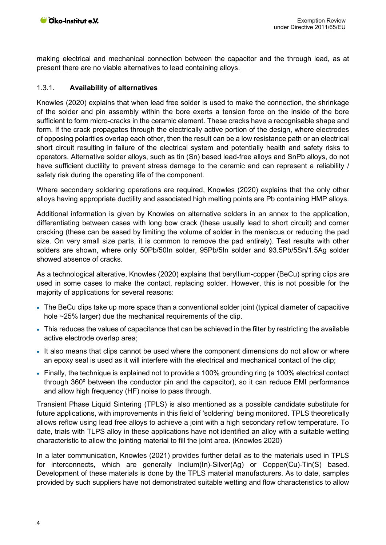making electrical and mechanical connection between the capacitor and the through lead, as at present there are no viable alternatives to lead containing alloys.

#### 1.3.1. **Availability of alternatives**

Knowles (2020) explains that when lead free solder is used to make the connection, the shrinkage of the solder and pin assembly within the bore exerts a tension force on the inside of the bore sufficient to form micro-cracks in the ceramic element. These cracks have a recognisable shape and form. If the crack propagates through the electrically active portion of the design, where electrodes of opposing polarities overlap each other, then the result can be a low resistance path or an electrical short circuit resulting in failure of the electrical system and potentially health and safety risks to operators. Alternative solder alloys, such as tin (Sn) based lead-free alloys and SnPb alloys, do not have sufficient ductility to prevent stress damage to the ceramic and can represent a reliability / safety risk during the operating life of the component.

Where secondary soldering operations are required, Knowles (2020) explains that the only other alloys having appropriate ductility and associated high melting points are Pb containing HMP alloys.

Additional information is given by Knowles on alternative solders in an annex to the application, differentiating between cases with long bow crack (these usually lead to short circuit) and corner cracking (these can be eased by limiting the volume of solder in the meniscus or reducing the pad size. On very small size parts, it is common to remove the pad entirely). Test results with other solders are shown, where only 50Pb/50In solder, 95Pb/5In solder and 93.5Pb/5Sn/1.5Ag solder showed absence of cracks.

As a technological alterative, Knowles (2020) explains that beryllium-copper (BeCu) spring clips are used in some cases to make the contact, replacing solder. However, this is not possible for the majority of applications for several reasons:

- The BeCu clips take up more space than a conventional solder joint (typical diameter of capacitive hole ~25% larger) due the mechanical requirements of the clip.
- This reduces the values of capacitance that can be achieved in the filter by restricting the available active electrode overlap area;
- It also means that clips cannot be used where the component dimensions do not allow or where an epoxy seal is used as it will interfere with the electrical and mechanical contact of the clip;
- Finally, the technique is explained not to provide a 100% grounding ring (a 100% electrical contact through 360º between the conductor pin and the capacitor), so it can reduce EMI performance and allow high frequency (HF) noise to pass through.

Transient Phase Liquid Sintering (TPLS) is also mentioned as a possible candidate substitute for future applications, with improvements in this field of 'soldering' being monitored. TPLS theoretically allows reflow using lead free alloys to achieve a joint with a high secondary reflow temperature. To date, trials with TLPS alloy in these applications have not identified an alloy with a suitable wetting characteristic to allow the jointing material to fill the joint area. (Knowles 2020)

In a later communication, Knowles (2021) provides further detail as to the materials used in TPLS for interconnects, which are generally Indium(In)-Silver(Ag) or Copper(Cu)-Tin(S) based. Development of these materials is done by the TPLS material manufacturers. As to date, samples provided by such suppliers have not demonstrated suitable wetting and flow characteristics to allow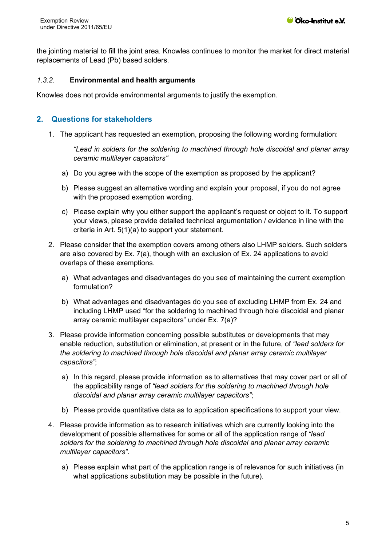the jointing material to fill the joint area. Knowles continues to monitor the market for direct material replacements of Lead (Pb) based solders.

#### *1.3.2.* **Environmental and health arguments**

Knowles does not provide environmental arguments to justify the exemption.

## **2. Questions for stakeholders**

1. The applicant has requested an exemption, proposing the following wording formulation:

*"Lead in solders for the soldering to machined through hole discoidal and planar array ceramic multilayer capacitors"* 

- a) Do you agree with the scope of the exemption as proposed by the applicant?
- b) Please suggest an alternative wording and explain your proposal, if you do not agree with the proposed exemption wording.
- c) Please explain why you either support the applicant's request or object to it. To support your views, please provide detailed technical argumentation / evidence in line with the criteria in Art. 5(1)(a) to support your statement.
- 2. Please consider that the exemption covers among others also LHMP solders. Such solders are also covered by Ex. 7(a), though with an exclusion of Ex. 24 applications to avoid overlaps of these exemptions.
	- a) What advantages and disadvantages do you see of maintaining the current exemption formulation?
	- b) What advantages and disadvantages do you see of excluding LHMP from Ex. 24 and including LHMP used "for the soldering to machined through hole discoidal and planar array ceramic multilayer capacitors" under Ex. 7(a)?
- 3. Please provide information concerning possible substitutes or developments that may enable reduction, substitution or elimination, at present or in the future, of *"lead solders for the soldering to machined through hole discoidal and planar array ceramic multilayer capacitors"*;
	- a) In this regard, please provide information as to alternatives that may cover part or all of the applicability range of *"lead solders for the soldering to machined through hole discoidal and planar array ceramic multilayer capacitors"*;
	- b) Please provide quantitative data as to application specifications to support your view.
- 4. Please provide information as to research initiatives which are currently looking into the development of possible alternatives for some or all of the application range of *"lead solders for the soldering to machined through hole discoidal and planar array ceramic multilayer capacitors"*.
	- a) Please explain what part of the application range is of relevance for such initiatives (in what applications substitution may be possible in the future).